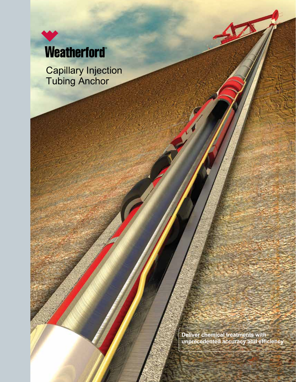

Capillary Injection Tubing Anchor

> **Deliver chemical treatments with unprecedented accuracy and efficiency**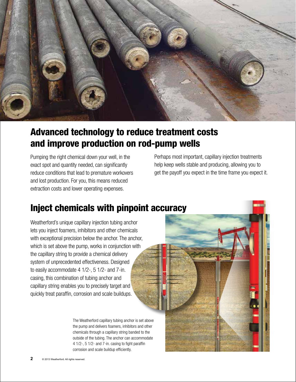

# Advanced technology to reduce treatment costs and improve production on rod-pump wells

Pumping the right chemical down your well, in the exact spot and quantity needed, can significantly reduce conditions that lead to premature workovers and lost production. For you, this means reduced extraction costs and lower operating expenses.

Perhaps most important, capillary injection treatments help keep wells stable and producing, allowing you to get the payoff you expect in the time frame you expect it.

# Inject chemicals with pinpoint accuracy

Weatherford's unique capillary injection tubing anchor lets you inject foamers, inhibitors and other chemicals with exceptional precision below the anchor. The anchor, which is set above the pump, works in conjunction with the capillary string to provide a chemical delivery system of unprecedented effectiveness. Designed to easily accommodate 4 1/2-, 5 1/2- and 7-in. casing, this combination of tubing anchor and capillary string enables you to precisely target and quickly treat paraffin, corrosion and scale buildups.

> The Weatherford capillary tubing anchor is set above the pump and delivers foamers, inhibitors and other chemicals through a capillary string banded to the outside of the tubing. The anchor can accommodate 4 1/2-, 5 1/2- and 7-in. casing to fight paraffin corrosion and scale buildup efficiently.

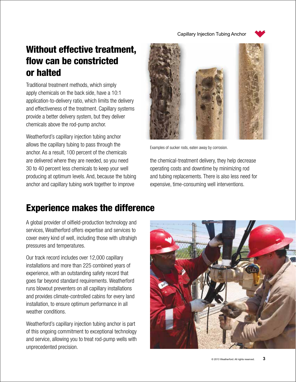Capillary Injection Tubing Anchor



# Without effective treatment, flow can be constricted or halted

Traditional treatment methods, which simply apply chemicals on the back side, have a 10:1 application-to-delivery ratio, which limits the delivery and effectiveness of the treatment. Capillary systems provide a better delivery system, but they deliver chemicals above the rod-pump anchor.

Weatherford's capillary injection tubing anchor allows the capillary tubing to pass through the anchor. As a result, 100 percent of the chemicals are delivered where they are needed, so you need 30 to 40 percent less chemicals to keep your well producing at optimum levels. And, because the tubing anchor and capillary tubing work together to improve



Examples of sucker rods, eaten away by corrosion.

the chemical-treatment delivery, they help decrease operating costs and downtime by minimizing rod and tubing replacements. There is also less need for expensive, time-consuming well interventions.

#### Experience makes the difference

A global provider of oilfield-production technology and services, Weatherford offers expertise and services to cover every kind of well, including those with ultrahigh pressures and temperatures.

Our track record includes over 12,000 capillary installations and more than 225 combined years of experience, with an outstanding safety record that goes far beyond standard requirements. Weatherford runs blowout preventers on all capillary installations and provides climate-controlled cabins for every land installation, to ensure optimum performance in all weather conditions.

Weatherford's capillary injection tubing anchor is part of this ongoing commitment to exceptional technology and service, allowing you to treat rod-pump wells with unprecedented precision.